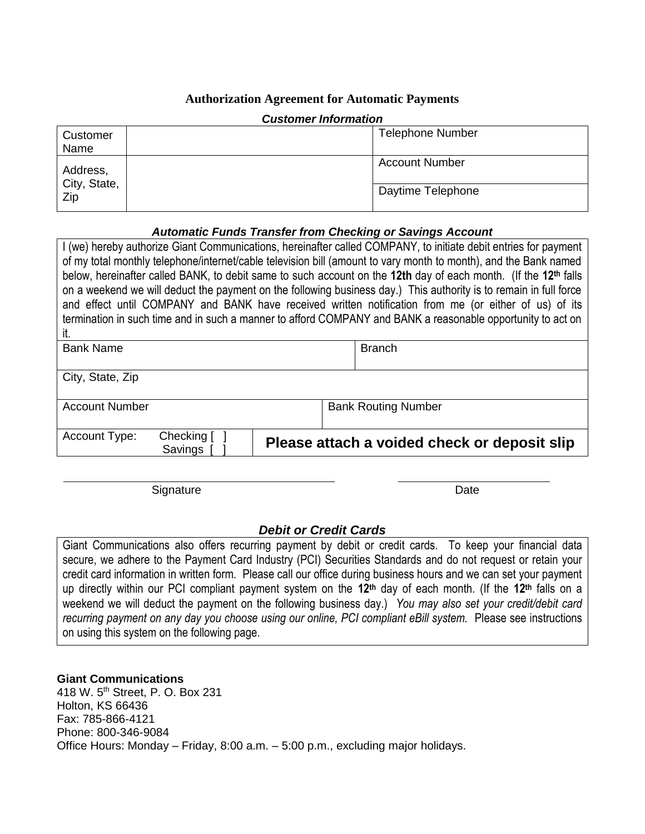# **Authorization Agreement for Automatic Payments**

| <b>UUSLUMEE MAULINGUU</b>       |  |                         |  |  |
|---------------------------------|--|-------------------------|--|--|
| Customer<br>Name                |  | <b>Telephone Number</b> |  |  |
| Address,<br>City, State,<br>Zip |  | <b>Account Number</b>   |  |  |
|                                 |  | Daytime Telephone       |  |  |

#### *Customer Information*

## *Automatic Funds Transfer from Checking or Savings Account*

| I (we) hereby authorize Giant Communications, hereinafter called COMPANY, to initiate debit entries for payment<br>of my total monthly telephone/internet/cable television bill (amount to vary month to month), and the Bank named<br>below, hereinafter called BANK, to debit same to such account on the 12th day of each month. (If the 12 <sup>th</sup> falls<br>on a weekend we will deduct the payment on the following business day.) This authority is to remain in full force<br>and effect until COMPANY and BANK have received written notification from me (or either of us) of its<br>termination in such time and in such a manner to afford COMPANY and BANK a reasonable opportunity to act on<br>it. |                       |                                              |  |               |  |
|------------------------------------------------------------------------------------------------------------------------------------------------------------------------------------------------------------------------------------------------------------------------------------------------------------------------------------------------------------------------------------------------------------------------------------------------------------------------------------------------------------------------------------------------------------------------------------------------------------------------------------------------------------------------------------------------------------------------|-----------------------|----------------------------------------------|--|---------------|--|
| <b>Bank Name</b>                                                                                                                                                                                                                                                                                                                                                                                                                                                                                                                                                                                                                                                                                                       |                       |                                              |  | <b>Branch</b> |  |
| City, State, Zip                                                                                                                                                                                                                                                                                                                                                                                                                                                                                                                                                                                                                                                                                                       |                       |                                              |  |               |  |
| <b>Account Number</b>                                                                                                                                                                                                                                                                                                                                                                                                                                                                                                                                                                                                                                                                                                  |                       | <b>Bank Routing Number</b>                   |  |               |  |
| Account Type:                                                                                                                                                                                                                                                                                                                                                                                                                                                                                                                                                                                                                                                                                                          | Checking [<br>Savings | Please attach a voided check or deposit slip |  |               |  |

Signature Date **Date** 

## *Debit or Credit Cards*

Giant Communications also offers recurring payment by debit or credit cards. To keep your financial data secure, we adhere to the Payment Card Industry (PCI) Securities Standards and do not request or retain your credit card information in written form. Please call our office during business hours and we can set your payment up directly within our PCI compliant payment system on the **12th** day of each month. (If the **12th** falls on a weekend we will deduct the payment on the following business day.) *You may also set your credit/debit card recurring payment on any day you choose using our online, PCI compliant eBill system.* Please see instructions on using this system on the following page.

#### **Giant Communications**

418 W. 5th Street, P. O. Box 231 Holton, KS 66436 Fax: 785-866-4121 Phone: 800-346-9084 Office Hours: Monday – Friday, 8:00 a.m. – 5:00 p.m., excluding major holidays.